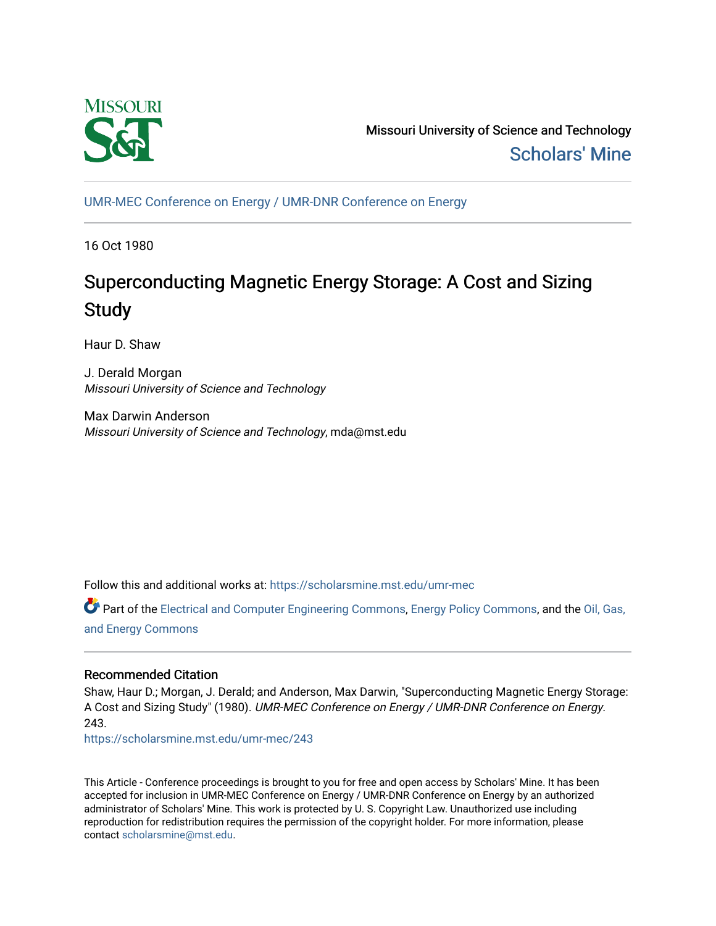

Missouri University of Science and Technology [Scholars' Mine](https://scholarsmine.mst.edu/) 

[UMR-MEC Conference on Energy / UMR-DNR Conference on Energy](https://scholarsmine.mst.edu/umr-mec)

16 Oct 1980

# Superconducting Magnetic Energy Storage: A Cost and Sizing **Study**

Haur D. Shaw

J. Derald Morgan Missouri University of Science and Technology

Max Darwin Anderson Missouri University of Science and Technology, mda@mst.edu

Follow this and additional works at: [https://scholarsmine.mst.edu/umr-mec](https://scholarsmine.mst.edu/umr-mec?utm_source=scholarsmine.mst.edu%2Fumr-mec%2F243&utm_medium=PDF&utm_campaign=PDFCoverPages) 

Part of the [Electrical and Computer Engineering Commons](http://network.bepress.com/hgg/discipline/266?utm_source=scholarsmine.mst.edu%2Fumr-mec%2F243&utm_medium=PDF&utm_campaign=PDFCoverPages), [Energy Policy Commons](http://network.bepress.com/hgg/discipline/1065?utm_source=scholarsmine.mst.edu%2Fumr-mec%2F243&utm_medium=PDF&utm_campaign=PDFCoverPages), and the Oil, Gas, [and Energy Commons](http://network.bepress.com/hgg/discipline/171?utm_source=scholarsmine.mst.edu%2Fumr-mec%2F243&utm_medium=PDF&utm_campaign=PDFCoverPages) 

## Recommended Citation

Shaw, Haur D.; Morgan, J. Derald; and Anderson, Max Darwin, "Superconducting Magnetic Energy Storage: A Cost and Sizing Study" (1980). UMR-MEC Conference on Energy / UMR-DNR Conference on Energy. 243.

[https://scholarsmine.mst.edu/umr-mec/243](https://scholarsmine.mst.edu/umr-mec/243?utm_source=scholarsmine.mst.edu%2Fumr-mec%2F243&utm_medium=PDF&utm_campaign=PDFCoverPages) 

This Article - Conference proceedings is brought to you for free and open access by Scholars' Mine. It has been accepted for inclusion in UMR-MEC Conference on Energy / UMR-DNR Conference on Energy by an authorized administrator of Scholars' Mine. This work is protected by U. S. Copyright Law. Unauthorized use including reproduction for redistribution requires the permission of the copyright holder. For more information, please contact [scholarsmine@mst.edu](mailto:scholarsmine@mst.edu).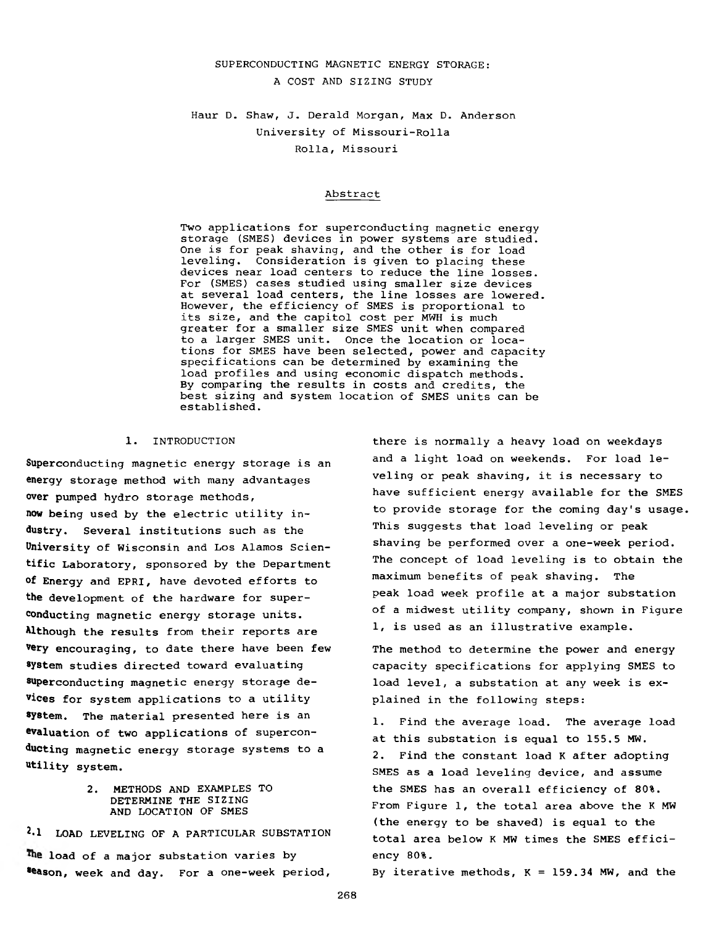## **SUPERCONDUCTING MAGNETIC ENERGY STORAGE: A COST AND SIZING STUDY**

## **Haur D. Shaw, J. Deraid Morgan, Max D. Anderson University of Missouri-Rolla Rolla, Missouri**

### **Abstract**

**Two applications for superconducting magnetic energy storage (SMES) devices in power systems are studied. One is for peak shaving, and the other is for load leveling. Consideration is given to placing these devices near load centers to reduce the line losses. For (SMES) cases studied using smaller size devices at several load centers, the line losses are lowered. However, the efficiency of SMES is proportional to its size, and the capitol cost per MWH is much greater for a smaller size SMES unit when compared to a larger SMES unit. Once the location or locations for SMES have been selected, power and capacity specifications can be determined by examining the load profiles and using economic dispatch methods. By comparing the results in costs and credits, the best sizing and system location of SMES units can be established.**

#### **1. INTRODUCTION**

**Superconducting magnetic energy storage is an energy storage method with many advantages over pumped hydro storage methods, now being used by the electric utility industry. Several institutions such as the University of Wisconsin and Los Alamos Scientific Laboratory, sponsored by the Department of Energy and EPRI, have devoted efforts to the development of the hardware for superconducting magnetic energy storage units. Although the results from their reports are very encouraging, to date there have been few system studies directed toward evaluating superconducting magnetic energy storage devices for system applications to a utility system. The material presented here is an ©valuation of two applications of superconducting magnetic energy storage systems to a utility system.**

## **2. METHODS AND EXAMPLES TO DETERMINE THE SIZING AND LOCATION OF SMES**

**2\*1 LOAD LEVELING OF A PARTICULAR SUBSTATION load of a major substation varies by Season, week and day. For a one-week period,**

**there is normally a heavy load on weekdays and a light load on weekends. For load leveling or peak shaving, it is necessary to have sufficient energy available for the SMES to provide storage for the coming day's usage. This suggests that load leveling or peak shaving be performed over a one-week period. The concept of load leveling is to obtain the maximum benefits of peak shaving. The peak load week profile at a major substation of a midwest utility company, shown in Figure 1, is used as an illustrative example.**

**The method to determine the power and energy capacity specifications for applying SMES to load level, a substation at any week is explained in the following steps:**

**1. Find the average load. The average load at this substation is equal to 155.5 MW. 2. Find the constant load K after adopting SMES as a load leveling device, and assume the SMES has an overall efficiency of 80%. From Figure 1, the total area above the K MW (the energy to be shaved) is equal to the total area below K MW times the SMES efficiency 80%.**

**By iterative methods, K = 159.34 MW, and the**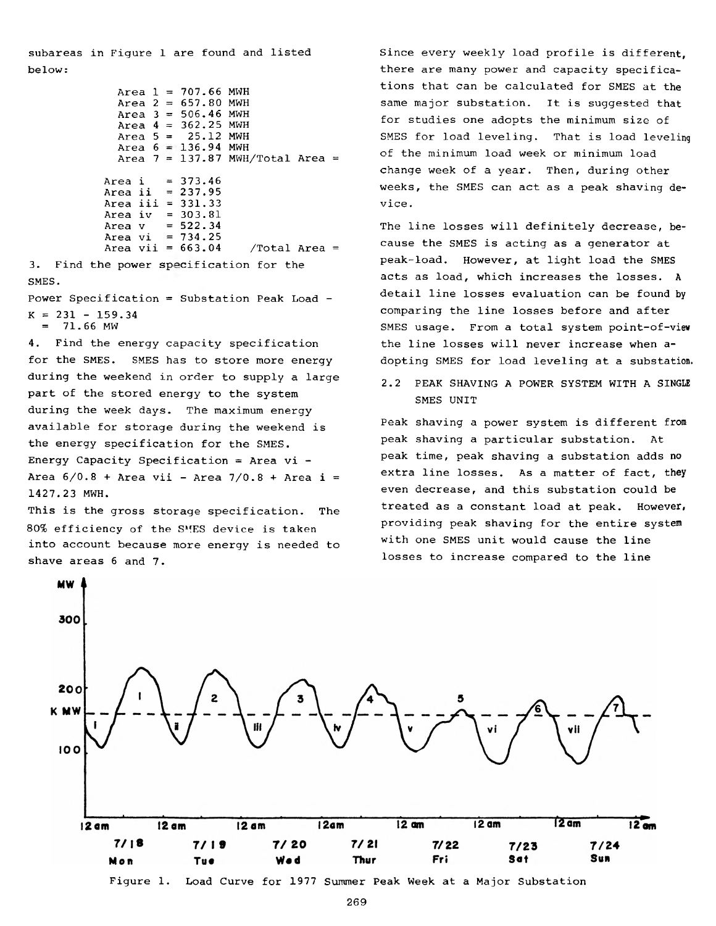**subareas in Figure 1 are found and listed below:**

```
Area 1 =
707.66 MWH
  Area 2 =
657.80 MWH
  Area 3 =
506.46 MWH
  Area 4 =
362.25 MWH
  Area 5 =
  Area
  Area 7 =
137.87 MWH/Total Area =
Area i =
Area ii =
Area iii =
331.33
Area iv =
Area v =
Area vi =
Area vii =
            25.12 MWH
       136.94 MWH
         373.46
         237.95
         303.81
         522.34
         734.25
                      663.04 /Total Area =
```
**3.** Find the power specification for the **SMES.**

**Power Specification = Substation Peak Load - K = 231 - 159.34 = 71.66 MW**

**4. Find the energy capacity specification for the SMES. SMES has to store more energy during the weekend in order to supply a large part of the stored energy to the system during the week days. The maximum energy available for storage during the weekend is the energy specification for the SMES. Energy Capacity Specification = Area vi - Area 6/0.8 + Area vii - Area 7/0.8 + Area i = 1427.23 MWH.**

**This is the gross storage specification. The 80% efficiency of the SMES device is taken into account because more energy is needed to shave areas 6 and 7.**

**Since every weekly load profile is different, there are many power and capacity specifications that can be calculated for SMES at the same major substation. It is suggested that for studies one adopts the minimum size of SMES for load leveling. That is load leveling of the minimum load week or minimum load change week of a year. Then, during other weeks, the SMES can act as a peak shaving device .**

**The line losses will definitely decrease, because the SMES is acting as a generator at peak-load. However, at light load the SMES acts as load, which increases the losses. A detail line losses evaluation can be found by comparing the line losses before and after SMES usage. From a total system point-of-view the line losses will never increase when adopting SMES for load leveling at a substation.**

**2.2 PEAK SHAVING A POWER SYSTEM WITH A SINGLE SMES UNIT**

**Peak shaving a power system is different from peak shaving a particular substation. At peak time, peak shaving a substation adds no extra line losses. As a matter of fact, they even decrease, and this substation could be treated as a constant load at peak. However, providing peak shaving for the entire system with one SMES unit would cause the line losses to increase compared to the line**

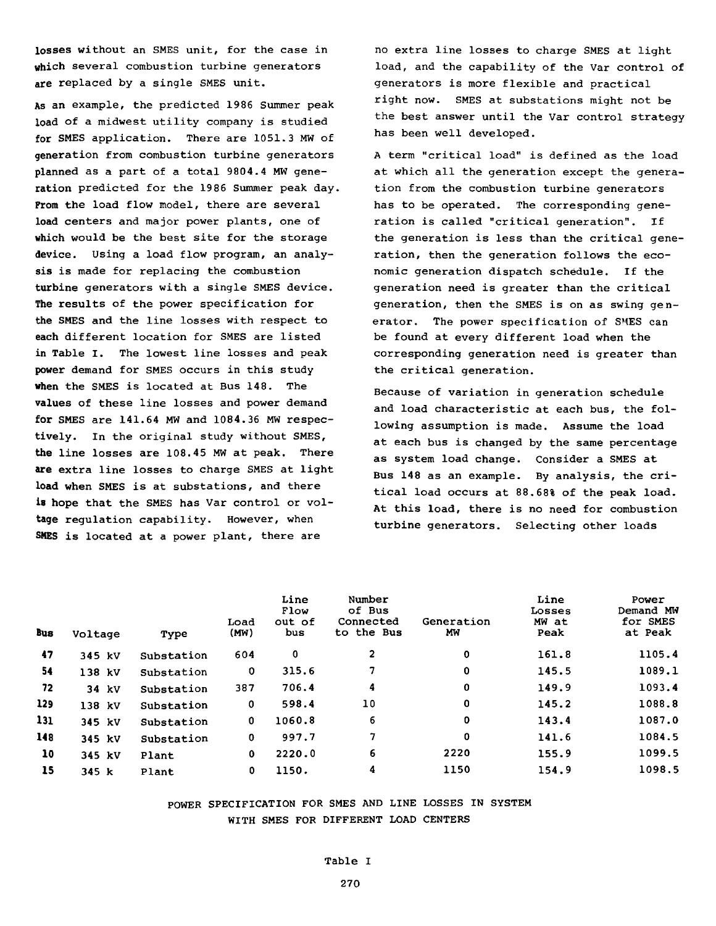**losses without an SMES unit, for the case in which several combustion turbine generators are replaced by a single SMES unit.**

**As an example, the predicted 1986 Summer peak load of a midwest utility company is studied for SMES application. There are 1051.3 MW of generation from combustion turbine generators planned as a part of a total 9804.4 MW generation predicted for the 1986 Summer peak day. Prom the load flow model, there are several load centers and major power plants, one of which would be the best site for the storage device. Using a load flow program, an analysis is made for replacing the combustion turbine generators with a single SMES device. The results of the power specification for the SMES and the line losses with respect to each different location for SMES are listed in Table I. The lowest line losses and peak power demand for SMES occurs in this study when the SMES is located at Bus 148. The values of these line losses and power demand for SMES are 141.64 MW and 1084.36 MW respectively. In the original study without SMES, the line losses are 108.45 MW at peak. There are extra line losses to charge SMES at light load when SMES is at substations, and there is hope that the SMES has Var control or voltage regulation capability. However, when SMES is located at a power plant, there are**

**no extra line losses to charge SMES at light load, and the capability of the Var control of generators is more flexible and practical right now. SMES at substations might not be the best answer until the Var control strategy has been well developed.**

**A term "critical load" is defined as the load at which all the generation except the generation from the combustion turbine generators has to be operated. The corresponding generation is called "critical generation". If the generation is less than the critical generation, then the generation follows the economic generation dispatch schedule. If the generation need is greater than the critical generation, then the SMES is on as swing generator. The power specification of SMES can be found at every different load when the corresponding generation need is greater than the critical generation.**

**Because of variation in generation schedule and load characteristic at each bus, the following assumption is made. Assume the load at each bus is changed by the same percentage as system load change. Consider a SMES at Bus 148 as an example. By analysis, the critical load occurs at 88.68% of the peak load. At this load, there is no need for combustion turbine generators. Selecting other loads**

| <b>Bus</b> | Voltage | Type       | Load<br>(MW) | Line<br>Flow<br>out of<br>bus | Number<br>of Bus<br>Connected<br>to the Bus | Generation<br>МW | Line<br>Losses<br>MW at<br>Peak | Power<br>Demand MW<br>for SMES<br>at Peak |
|------------|---------|------------|--------------|-------------------------------|---------------------------------------------|------------------|---------------------------------|-------------------------------------------|
| 47         | 345 kV  | Substation | 604          | 0                             | 2                                           | 0                | 161.8                           | 1105.4                                    |
| 54         | 138 kV  | Substation | $\mathbf 0$  | 315.6                         | 7                                           | 0                | 145.5                           | 1089.1                                    |
| 72         | 34 kV   | Substation | 387          | 706.4                         | 4                                           | 0                | 149.9                           | 1093.4                                    |
| 129        | 138 kV  | Substation | $\mathbf 0$  | 598.4                         | 10                                          | 0                | 145.2                           | 1088.8                                    |
| 131        | 345 kV  | Substation | 0            | 1060.8                        | 6                                           | 0                | 143.4                           | 1087.0                                    |
| 148        | 345 kV  | Substation | 0            | 997.7                         | 7                                           | 0                | 141.6                           | 1084.5                                    |
| 10         | 345 kV  | Plant      | 0            | 2220.0                        | 6                                           | 2220             | 155.9                           | 1099.5                                    |
| 15         | 345 k   | Plant      | 0            | 1150.                         | 4                                           | 1150             | 154.9                           | 1098.5                                    |

## **POWER SPECIFICATION FOR SMES AND LINE LOSSES IN SYSTEM WITH SMES FOR DIFFERENT LOAD CENTERS**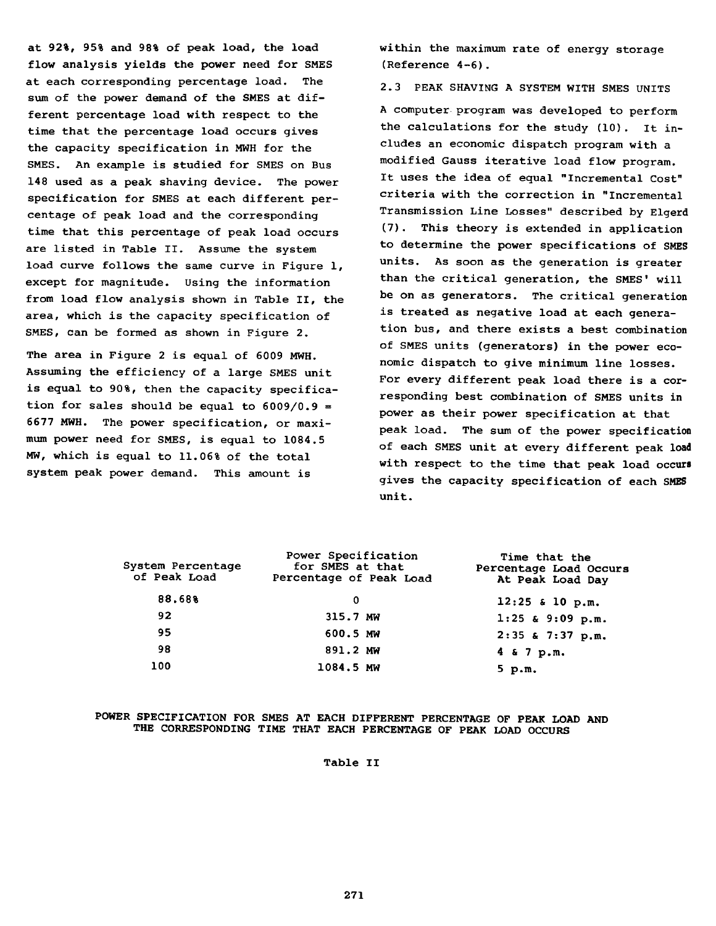**at 92%, 95% and 98% of peak load, the load flow analysis yields the power need for SMES at each corresponding percentage load. The sum of the power demand of the SMES at different percentage load with respect to the time that the percentage load occurs gives the capacity specification in MWH for the SMES. An example is studied for SMES on Bus 148 used as a peak shaving device. The power specification for SMES at each different percentage of peak load and the corresponding time that this percentage of peak load occurs are listed in Table II. Assume the system load curve follows the same curve in Figure 1, except for magnitude. Using the information from load flow analysis shown in Table II, the area, which is the capacity specification of SMES, can be formed as shown in Figure 2.**

**The area in Figure 2 is equal of 6009 MWH. Assuming the efficiency of a large SMES unit is equal to 90%, then the capacity specification for sales should be equal to 6009/0.9 = 6677 MWH. The power specification, or maximum power need for SMES, is equal to 1084.5 MW, which is equal to 11.06% of the total system peak power demand. This amount is**

**within the maximum rate of energy storage (Reference 4-6).**

**2.3 PEAK SHAVING A SYSTEM WITH SMES UNITS**

**A computer program was developed to perform the calculations for the study (10). It includes an economic dispatch program with a modified Gauss iterative load flow program. It uses the idea of equal "Incremental Cost" criteria with the correction in "Incremental Transmission Line Losses" described by Elgerd (7). This theory is extended in application to determine the power specifications of SMES units. As soon as the generation is greater than the critical generation, the SMES' will be on as generators. The critical generation is treated as negative load at each generation bus, and there exists a best combination of SMES units (generators) in the power economic dispatch to give minimum line losses. For every different peak load there is a corresponding best combination of SMES units in power as their power specification at that peak load. The sum of the power specification of each SMES unit at every different peak load with respect to the time that peak load occurs gives the capacity specification of each SMES unit.**

| System Percentage<br>of Peak Load | Power Specification<br>for SMES at that<br>Percentage of Peak Load | Time that the<br>Percentage Load Occurs<br>At Peak Load Day |
|-----------------------------------|--------------------------------------------------------------------|-------------------------------------------------------------|
| 88,68%                            | 0                                                                  | $12:25$ & 10 p.m.                                           |
| 92                                | 315.7 MW                                                           | $1:25$ & 9:09 p.m.                                          |
| 95                                | 600.5 MW                                                           | 2:35 & 7:37 p.m.                                            |
| 98                                | 891.2 MW                                                           | 4 & 7 p.m.                                                  |
| 100                               | 1084.5 MW                                                          | $5$ p.m.                                                    |

## **POWER SPECIFICATION FOR SMES AT EACH DIFFERENT PERCENTAGE OF PEAK LOAD AND THE CORRESPONDING TIME THAT EACH PERCENTAGE OF PEAK LOAD OCCURS**

**Table II**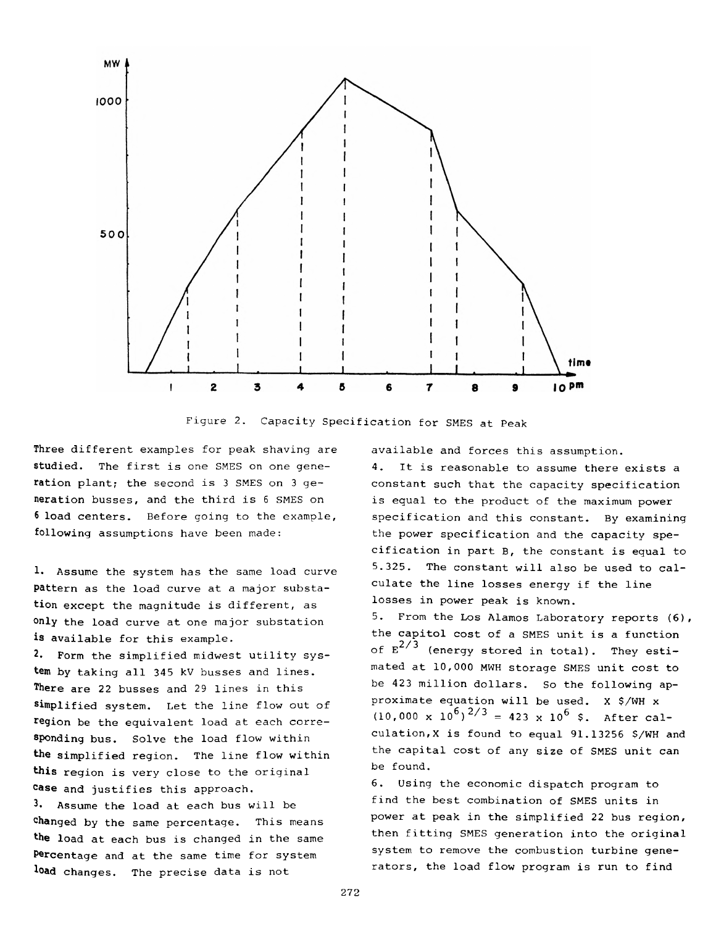

**Figure 2. Capacity Specification for SMES at Peak**

**Three different examples for peak shaving are studied. The first is one SMES on one generation plant; the second is 3 SMES on 3 generation busses, and the third is 6 SMES on 6 load centers. Before going to the example, following assumptions have been made:**

**1. Assume the system has the same load curve pattern as the load curve at a major substation except the magnitude is different, as only the load curve at one major substation is available for this example.**

**2. Form the simplified midwest utility system by taking all 345 kV busses and lines. There are 22 busses and 29 lines in this simplified system. Let the line flow out of region be the equivalent load at each corresponding bus. Solve the load flow within the simplified region. The line flow within this region is very close to the original °ase and justifies this approach.**

**3\* Assume the load at each bus will be changed by the same percentage. This means the load at each bus is changed in the same Percentage and at the same time for system load changes. The precise data is not**

**available and forces this assumption.**

**4. It is reasonable to assume there exists a constant such that the capacity specification is equal to the product of the maximum power specification and this constant. By examining the power specification and the capacity specification in part B, the constant is equal to 5.325. The constant will also be used to calculate the line losses energy if the line losses in power peak is known.**

**5. From the Los Alamos Laboratory reports (6), the capitol cost of a SMES unit is a function** of  $E^{2/3}$  (energy stored in total). They esti**mated at 10,000 MWH storage SMES unit cost to be 423 million dollars. So the following approximate equation will be used. X \$/WH x**  $(10,000 \times 10^6)^{2/3} = 423 \times 10^6$  \$. After cal**culation^ is found to equal 91.13256 \$/WH and the capital cost of any size of SMES unit can be found.**

**6. Using the economic dispatch program to find the best combination of SMES units in power at peak in the simplified 22 bus region, then fitting SMES generation into the original system to remove the combustion turbine generators, the load flow program is run to find**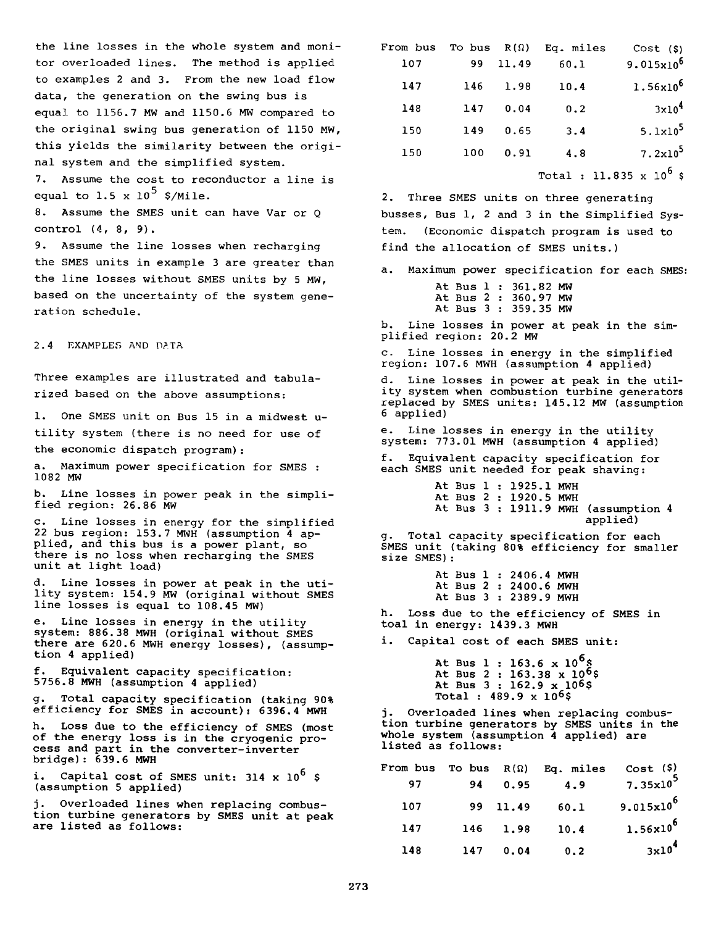**the line losses in the whole system and monitor overloaded lines. The method is applied to examples 2 and 3. From the new load flow data, the generation on the swing bus is equal to 1156.7 MW and 1150.6 MW compared to the original swing bus generation of 1150 MW, this yields the similarity between the original system and the simplified system. 7. Assume the cost to reconductor a line is**

**equal to 1.5 x 10<sup>5</sup> \$/Mile.** 

**8. Assume the SMES unit can have Var or Q control (4, 8, 9) .**

**9. Assume the line losses when recharging the SMES units in example 3 are greater than the line losses without SMES units by 5 MW, based on the uncertainty of the system generation schedule.**

**2.4 EXAMPLES AND DATA**

**Three examples are illustrated and tabularized based on the above assumptions:**

**1. One SMES unit on Bus 15 in a midwest utility system (there is no need for use of the economic dispatch program):**

**a. Maximum power specification for SMES : 1082 MW**

**b. Line losses in power peak in the simplified region: 26.86 MW**

**c. Line losses in energy for the simplified 22 bus region: 153.7 MWH (assumption 4 applied, and this bus is a power plant, so there is no loss when recharging the SMES unit at light load)**

**d. Line losses in power at peak in the utility system: 154.9 MW (original without SMES line losses is equal to 108.45 MW)**

**e. Line losses in energy in the utility system: 886.38 MWH (original without SMES there are 620.6 MWH energy losses), (assumption 4 applied)**

**f. Equivalent capacity specification: 5756.8 MWH (assumption 4 applied)**

**g. Total capacity specification (taking 90% efficiency for SMES in account): 6396.4 MWH**

**h. Loss due to the efficiency of SMES (most of the energy loss is in the cryogenic process and part in the converter-inverter bridge): 639.6 MWH**

**i. Capital cost of SMES unit: 314 x 106 \$ (assumption 5 applied)**

**j. Overloaded lines when replacing combustion turbine generators by SMES unit at peak are listed as follows:**

| Cost (S)          | Eq. miles | $R(\Omega)$ | To bus | From bus |
|-------------------|-----------|-------------|--------|----------|
| $9.015x10^{6}$    | 60.1      | 11.49       | 99     | 107      |
| $1.56x10^{6}$     | 10.4      | 1.98        | 146    | 147      |
| 3x10 <sup>4</sup> | 0.2       | 0.04        | 147    | 148      |
| $5.1x10^5$        | 3.4       | 0.65        | 149    | 150      |
| $7.2 \times 10^5$ | 4.8       | 0.91        | 100    | 150      |
|                   |           |             |        |          |

**Total : 11.835 x 106 \$**

**2. Three SMES units on three generating busses, Bus 1, 2 and 3 in the Simplified System. (Economic dispatch program is used to find the allocation of SMES units.)**

**a. Maximum power specification for each SMES:**

|  |  | At Bus 1 : 361.82 MW |  |
|--|--|----------------------|--|
|  |  | At Bus 2 : 360.97 MW |  |
|  |  | At Bus 3 : 359.35 MW |  |

**b. Line losses in power at peak in the simplified region: 20.2 MW**

**c. Line losses in energy in the simplified region: 107.6 MWH (assumption 4 applied)**

**d. Line losses in power at peak in the utility system when combustion turbine generators replaced by SMES units: 145.12 MW (assumption 6 applied)**

**e. Line losses in energy in the utility system: 773.01 MWH (assumption 4 applied)**

**f. Equivalent capacity specification for each SMES unit needed for peak shaving:**

> **At Bus 1 : 1925.1 MWH At Bus 2 : 1920.5 MWH At Bus 3 : 1911.9 MWH (assumption 4 applied)**

**g. Total capacity specification for each SMES unit (taking 80% efficiency for smaller size SMES):**

> **At Bus 1 : 2406.4 MWH At Bus 2 : 2400.6 MWH At Bus 3 : 2389.9 MWH**

**h. Loss due to the efficiency of SMES in toal in energy: 1439.3 MWH**

**i. Capital cost of each SMES unit:**

At Bus 1 : 163.6  $\times$  10<sup>6</sup>\$ **At Bus 2 : 163.38 x 106\$ At Bus 3 : 162.9 x 106\$ Total : 489.9 x 106\$**

**j. Overloaded lines when replacing combustion turbine generators by SMES units in the whole system (assumption 4 applied) are listed as follows:**

| From bus | To bus | $R(\Omega)$ | Eq. miles | $Cost($ \$)          |
|----------|--------|-------------|-----------|----------------------|
| 97       | 94     | 0.95        | 4.9       | $7.35x10^5$          |
| 107      | 99.    | 11.49       | 60.1      | $9.015 \times 10^6$  |
| 147      | 146    | 1.98        | 10.4      | $1.56 \times 10^{6}$ |
| 148      | 147    | 0.04        | 0.2       | $3 \times 10^4$      |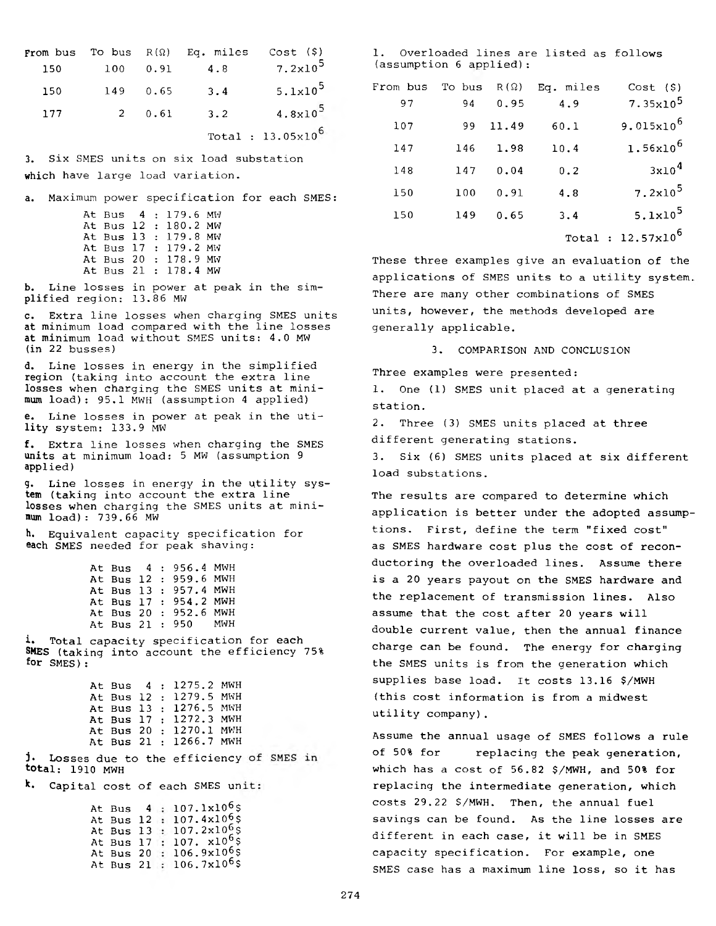| from bus |          |             | To bus $R(\Omega)$ Eq. miles Cost $(\hat{\varphi})$ |                             |
|----------|----------|-------------|-----------------------------------------------------|-----------------------------|
| 150      | 100      | 0.91        | 4.8                                                 | $7.2 \times 10^5$           |
| 150      | 149 0.65 |             | 3.4                                                 | $5.1x10^5$                  |
| 177      |          | $2 \t 0.61$ | $\overline{3}$ . 2                                  | $4.8 \times 10^{5}$         |
|          |          |             |                                                     | Total : $13.05 \times 10^6$ |

**3. Six SMES units on six load substation which have large load variation. <sup>148</sup> <sup>147</sup> 0.04 0.2 3xl04**

**a. Maximum power specification for each SMES: 150 100 0.91 4.8 7.2xl05**

|  | At Bus 4: 179.6 MW   | 150 | 149 0.65 | 3.4 | 5.1x10                                         |
|--|----------------------|-----|----------|-----|------------------------------------------------|
|  | At Bus 12: 180.2 MW  |     |          |     |                                                |
|  | At Bus 13: 179.8 MW  |     |          |     | Total : 12.57x10                               |
|  | At Bus 17: 179.2 MW  |     |          |     |                                                |
|  | At Bus 20 : 178.9 MW |     |          |     | These three examples give an evaluation of the |
|  | At Bus 21 : 178.4 MW |     |          |     | applications of SMFS units to a utility syste  |

**b. Line losses in power at peak in the simplified region: 13.86 MW**

**c. Extra line losses when charging SMES units at minimum load compared with the line losses at minimum load without SMES units: 4.0 MW (in 22 busses)**

**d. Line losses in energy in the simplified region (taking into account the extra line losses when charging the SMES units at minimum load): 95.1 MWH (assumption 4 applied)**

**e. Line losses in power at peak in the utility system: 133.9 MW**

**f. Extra line losses when charging the SMES units at minimum load: 5 MW (assumption 9 applied)**

**g. Line losses in energy in the utility system (taking into account the extra line losses when charging the SMES units at minimum load): 739.66 MW**

**h. Equivalent capacity specification for each SMES needed for peak shaving:**

|  |  | At Bus 4: 956.4 MWH   |  |
|--|--|-----------------------|--|
|  |  | At Bus 12 : 959.6 MWH |  |
|  |  | At Bus 13 : 957.4 MWH |  |
|  |  | At Bus 17 : 954.2 MWH |  |
|  |  | At Bus 20 : 952.6 MWH |  |
|  |  | At Bus 21 : 950 MWH   |  |
|  |  |                       |  |

**i. Total capacity specification for each SMES (taking into account the efficiency 75% for SMES) :**

|  |  | At Bus 4 : 1275.2 MWH  |  |
|--|--|------------------------|--|
|  |  | At Bus 12 : 1279.5 MWH |  |
|  |  | At Bus 13: 1276.5 MWH  |  |
|  |  | At Bus 17 : 1272.3 MWH |  |
|  |  | At Bus 20 : 1270.1 MWH |  |
|  |  | At Bus 21 : 1266.7 MWH |  |
|  |  |                        |  |

**j. Losses due to the efficiency total: 1910 MWH**

**k. Capital cost of each SMES un**

|  |  | At Bus $4:107.1x10^6$ \$             |
|--|--|--------------------------------------|
|  |  | At Bus 12: 107.4x10 <sup>6</sup> \$  |
|  |  | At Bus 13 : $107.2 \times 10^{6}$ \$ |
|  |  | At Bus 17 : 107. $x10^6$ \$          |
|  |  | At Bus 20 : $106.9 \times 10^6$ \$   |
|  |  | At Bus 21 : $106.7 \times 10^6$ \$   |

**1. Overloaded lines are listed as follows (assumption 6 applied):**

| 150 | 149                        | 0.65                | 3.4                                   | $5.1x10^5$                                 | From bus | To bus $R(\Omega)$ |       | Eg. miles | Cost (S)                                           |
|-----|----------------------------|---------------------|---------------------------------------|--------------------------------------------|----------|--------------------|-------|-----------|----------------------------------------------------|
|     |                            |                     |                                       | $4.8 \times 10^{5}$                        | 97       | 94                 | 0.95  | 4.9       | $7.35x10^5$                                        |
| 177 | $2^{\circ}$                | 0.61                | 3.2                                   | Total : $13.05 \times 10^6$                | 107      | 99.                | 11.49 | 60.1      | $9.015x10^{6}$                                     |
|     |                            |                     | Six SMES units on six load substation |                                            | 147      | 146                | 1.98  | 10.4      | $1.56x10^{6}$                                      |
|     |                            |                     | ch have large load variation.         |                                            | 148      | 147                | 0.04  | 0.2       | 3x10 <sup>4</sup>                                  |
|     |                            |                     |                                       | Maximum power specification for each SMES: | 150      | 100                | 0.91  | 4.8       | $7.2 \times 10^5$                                  |
|     |                            | At Bus 4: 179.6 MW  |                                       |                                            | 150      | 149                | 0.65  | 3.4       | 5.1x10 <sup>5</sup>                                |
|     | $\cdots$ $\cdots$ $\cdots$ | At Bus 12: 180.2 MW |                                       |                                            |          |                    |       |           | $\sim$ $\sim$ $\sim$ $\sim$ $\sim$ $\sim$ $\sim$ 6 |

**These three examples give an evaluation of the applications of SMES units to a utility system. There are many other combinations of SMES units, however, the methods developed are generally applicable.**

**3. COMPARISON AND CONCLUSION**

**Three examples were presented:**

**1. One (1) SMES unit placed at a generating station.**

**2. Three (3) SMES units placed at three different generating stations.**

**3. Six (6) SMES units placed at six different load substations.**

**The results are compared to determine which application is better under the adopted assumptions. First, define the term "fixed cost" as SMES hardware cost plus the cost of reconductoring the overloaded lines. Assume there is a 20 years payout on the SMES hardware and the replacement of transmission lines. Also assume that the cost after 20 years will double current value, then the annual finance charge can be found. The energy for charging the SMES units is from the generation which supplies base load. It costs 13.16 \$/MWH (this cost information is from a midwest utility company).**

**Assume the annual usage of SMES follows a rule of 50% for replacing the peak generation, which has a cost of 56.82 \$/MWH, and 50% for replacing the intermediate generation, which costs 29.22 \$/MWH. Then, the annual fuel savings can be found. As the line losses are different in each case, it will be in SMES capacity specification. For example, one SMES case has a maximum line loss, so it has**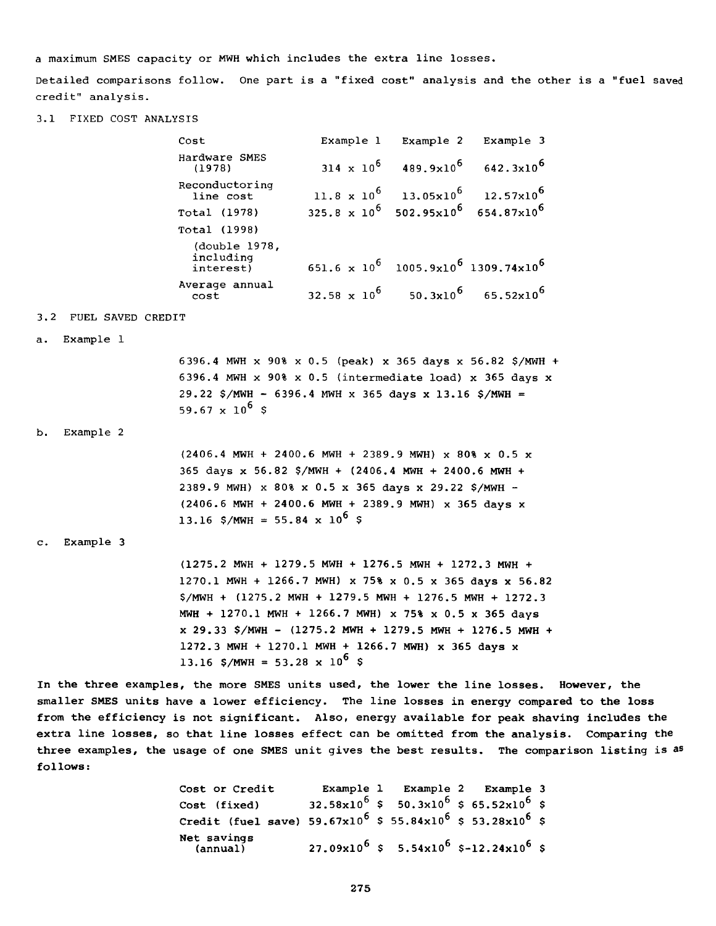**a maximum SMES capacity or MWH which includes the extra line losses.**

**Detailed comparisons follow. One part is a "fixed cost" analysis and the other is a "fuel saved credit" analysis.**

**3.1 FIXED COST ANALYSIS**

| Cost                                    |                                                                               | Example 1 Example 2 Example 3                                      |
|-----------------------------------------|-------------------------------------------------------------------------------|--------------------------------------------------------------------|
| Hardware SMES<br>(1978)                 |                                                                               | $314 \times 10^6$ 489.9x10 <sup>6</sup> 642.3x10 <sup>6</sup>      |
| Reconductoring<br>line cost             |                                                                               | 11.8 x 10 <sup>6</sup> 13.05x10 <sup>6</sup> 12.57x10 <sup>6</sup> |
| Total (1978)                            | $325.8 \times 10^6$ 502.95x10 <sup>6</sup> 654.87x10 <sup>6</sup>             |                                                                    |
| Total (1998)                            |                                                                               |                                                                    |
| (double 1978)<br>including<br>interest) | 651.6 $\times$ 10 <sup>6</sup> 1005.9x10 <sup>6</sup> 1309.74x10 <sup>6</sup> |                                                                    |
| Average annual<br>cost                  | 32.58 x $10^6$ 50.3x $10^6$ 65.52x $10^6$                                     |                                                                    |

## **3.2 FUEL SAVED CREDIT**

**a. Example 1**

**6396.4 MWH x 90% x 0.5 (peak) x 365 days x 56.82 \$/MWH + 6396.4 MWH x 90% x 0.5 (intermediate load) x 365 days x 29.22 \$/MWH - 6396.4 MWH x 365 days x 13.16 \$/MWH =** 59.67  $\times$  10<sup>6</sup> \$

**b. Example 2**

| $(2406.4$ MWH + 2400.6 MWH + 2389.9 MWH) x 80% x 0.5 x |
|--------------------------------------------------------|
| 365 days x 56.82 \$/MWH + $(2406.4$ MWH + 2400.6 MWH + |
| 2389.9 MWH) x 80% x 0.5 x 365 days x 29.22 \$/MWH -    |
| $(2406.6$ MWH + 2400.6 MWH + 2389.9 MWH) x 365 days x  |
| 13.16 \$/MWH = 55.84 x 10 <sup>6</sup> \$              |

### **c. Example 3**

**(1275.2 MWH + 1279.5 MWH + 1276.5 MWH + 1272.3 MWH + 1270.1 MWH + 1266.7 MWH) x 75% x 0.5 x 365 days x 56.82 \$/MWH + (1275.2 MWH + 1279.5 MWH + 1276.5 MWH + 1272.3 MWH + 1270.1 MWH + 1266.7 MWH) x 75% x 0.5 x 365 days x 29.33 \$/MWH - (1275.2 MWH + 1279.5 MWH + 1276.5 MWH + 1272.3 MWH + 1270.1 MWH + 1266.7 MWH) x 365 days x** 13.16 \$/MWH = 53.28  $\times$  10<sup>6</sup> \$

**In the three examples, the more SMES units used, the lower the line losses. However, the smaller SMES units have a lower efficiency. The line losses in energy compared to the loss from the efficiency is not significant. Also, energy available for peak shaving includes the extra line losses, so that line losses effect can be omitted from the analysis. Comparing the three examples, the usage of one SMES unit gives the best results. The comparison listing is as follows:**

> **Cost or Credit Example 1 Example 2 Example 3 Cost** (fixed) **32.58x10<sup>6</sup> \$ 50.3x10<sup>6</sup> \$ 65.52x10<sup>6</sup> \$ Credit (fuel save) 59.67x10<sup>6</sup> \$ 55.84x10<sup>6</sup> \$ <b>53.28x10**<sup>6</sup> \$ **Net savings**  $(27.09x10^6 \text{ } \text{S} \quad 5.54x10^6 \text{ } \text{S} \text{-}12.24x10^6 \text{ } \text{S}$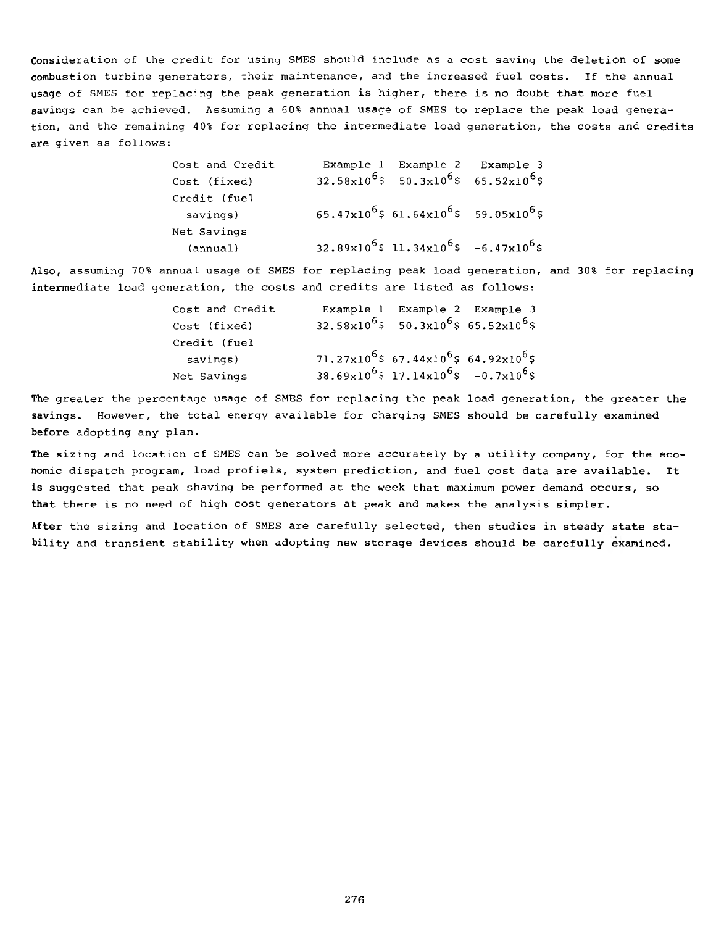**Consideration of the credit for using SMES should include as a cost saving the deletion of some combustion turbine generators, their maintenance, and the increased fuel costs. If the annual usage of SMES for replacing the peak generation is higher, there is no doubt that more fuel savings can be achieved. Assuming a 60% annual usage of SMES to replace the peak load generation, and the remaining 40% for replacing the intermediate load generation, the costs and credits are given as follows:**

> **Cost and Credit Example 1 Example 2 Example 3**  $Cost (fixed)$   $32.58x10^{6}$ \$ 50.3x10<sup>6</sup>\$ 65.52x10<sup>6</sup>\$ **Credit (fuel savings) 6 5 . 47 <sup>x</sup> 106 \$ 61.64xl06 \$ 59.05xl06 \$ Net Savings (annual) 3 2 . 89 <sup>x</sup> 1 0 6 \$ 1 1 . 34 <sup>x</sup> 1 0 6 \$ - 6 . 4 7 <sup>x</sup> 106 \$**

**Also, assuming 70% annual usage of SMES for replacing peak load generation, and 30% for replacing intermediate load generation, the costs and credits are listed as follows:**

| Cost and Credit | Example 1 Example 2 Example 3                                            |  |
|-----------------|--------------------------------------------------------------------------|--|
| Cost (fixed)    | $32.58 \times 10^6$ \$ 50.3x10 <sup>6</sup> \$ 65.52x10 <sup>6</sup> \$  |  |
| Credit (fuel    |                                                                          |  |
| savings)        | $71.27\times10^{6}$ \$ 67.44x10 <sup>6</sup> \$ 64.92x10 <sup>6</sup> \$ |  |
| Net Savings     | $38.69 \times 10^6$ \$ 17.14 $\times 10^6$ \$ -0.7 $\times 10^6$ \$      |  |

**The greater the percentage usage of SMES for replacing the peak load generation, the greater the savings. However, the total energy available for charging SMES should be carefully examined before adopting any plan.**

**The sizing and location of SMES can be solved more accurately by a utility company, for the economic dispatch program, load profiels, system prediction, and fuel cost data are available. It is suggested that peak shaving be performed at the week that maximum power demand occurs, so that there is no need of high cost generators at peak and makes the analysis simpler.**

**After the sizing and location of SMES are carefully selected, then studies in steady state stability and transient stability when adopting new storage devices should be carefully examined.**